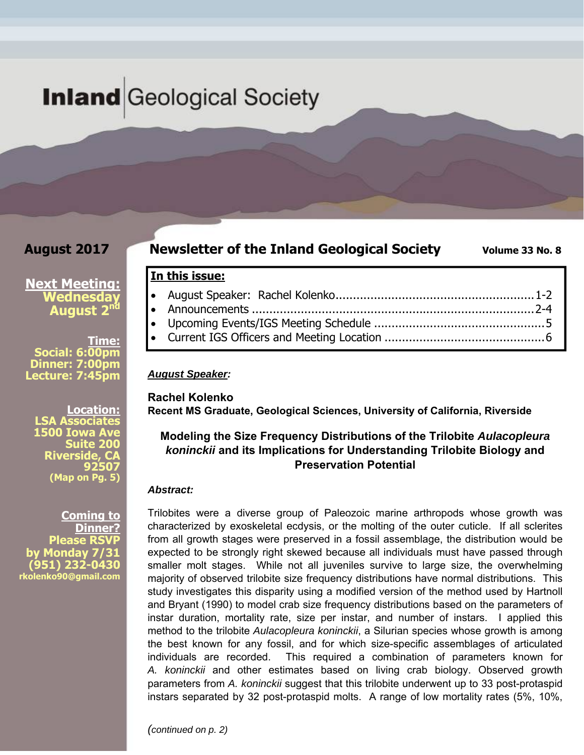# **Inland** Geological Society

### **August 2017**

### **Newsletter of the Inland Geological Society** Volume 33 No. 8

### **Next Meeting: Wednesday August 2nd**

**Time: Social: 6:00pm Dinner: 7:00pm Lecture: 7:45pm** 

**Location: LSA Associate 1500 Iowa A Suite 200 Riverside, CA 92507 (Map on Pg. 5)**

**Coming to Dinner? Please RSVP by Monday 7/31 (951) 232-0430 rkolenko90@gmail.com** 

### August Speaker: Rachel Kolenko ......................................................... 1-2 Announcements ................................................................................. 2-4 Upcoming Events/IGS Meeting Schedule ................................................. 5 Current IGS Officers and Meeting Location .............................................. 6

#### *August Speaker:*

**In this issue:** 

**Rachel Kolenko Recent MS Graduate, Geological Sciences, University of California, Riverside** 

#### **Modeling the Size Frequency Distributions of the Trilobite** *Aulacopleura koninckii* **and its Implications for Understanding Trilobite Biology and Preservation Potential**

#### *Abstract:*

Trilobites were a diverse group of Paleozoic marine arthropods whose growth was characterized by exoskeletal ecdysis, or the molting of the outer cuticle. If all sclerites from all growth stages were preserved in a fossil assemblage, the distribution would be expected to be strongly right skewed because all individuals must have passed through smaller molt stages. While not all juveniles survive to large size, the overwhelming majority of observed trilobite size frequency distributions have normal distributions. This study investigates this disparity using a modified version of the method used by Hartnoll and Bryant (1990) to model crab size frequency distributions based on the parameters of instar duration, mortality rate, size per instar, and number of instars. I applied this method to the trilobite *Aulacopleura koninckii*, a Silurian species whose growth is among the best known for any fossil, and for which size-specific assemblages of articulated individuals are recorded. This required a combination of parameters known for *A. koninckii* and other estimates based on living crab biology. Observed growth parameters from *A. koninckii* suggest that this trilobite underwent up to 33 post-protaspid instars separated by 32 post-protaspid molts. A range of low mortality rates (5%, 10%,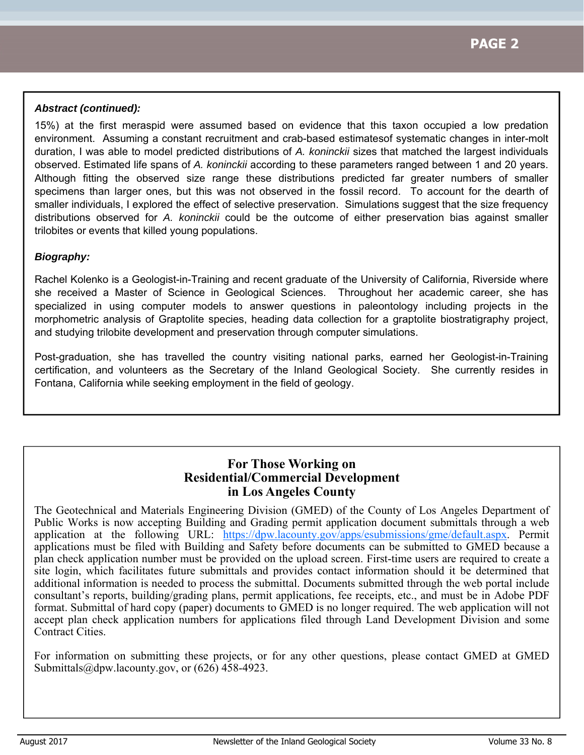#### *Abstract (continued):*

15%) at the first meraspid were assumed based on evidence that this taxon occupied a low predation environment. Assuming a constant recruitment and crab-based estimatesof systematic changes in inter-molt duration, I was able to model predicted distributions of *A. koninckii* sizes that matched the largest individuals observed. Estimated life spans of *A. koninckii* according to these parameters ranged between 1 and 20 years. Although fitting the observed size range these distributions predicted far greater numbers of smaller specimens than larger ones, but this was not observed in the fossil record. To account for the dearth of smaller individuals, I explored the effect of selective preservation. Simulations suggest that the size frequency distributions observed for *A. koninckii* could be the outcome of either preservation bias against smaller trilobites or events that killed young populations.

#### *Biography:*

Rachel Kolenko is a Geologist-in-Training and recent graduate of the University of California, Riverside where she received a Master of Science in Geological Sciences. Throughout her academic career, she has specialized in using computer models to answer questions in paleontology including projects in the morphometric analysis of Graptolite species, heading data collection for a graptolite biostratigraphy project, and studying trilobite development and preservation through computer simulations.

Post-graduation, she has travelled the country visiting national parks, earned her Geologist-in-Training certification, and volunteers as the Secretary of the Inland Geological Society. She currently resides in Fontana, California while seeking employment in the field of geology.

### **For Those Working on Residential/Commercial Development in Los Angeles County**

The Geotechnical and Materials Engineering Division (GMED) of the County of Los Angeles Department of Public Works is now accepting Building and Grading permit application document submittals through a web application at the following URL: https://dpw.lacounty.gov/apps/esubmissions/gme/default.aspx. Permit applications must be filed with Building and Safety before documents can be submitted to GMED because a plan check application number must be provided on the upload screen. First-time users are required to create a site login, which facilitates future submittals and provides contact information should it be determined that additional information is needed to process the submittal. Documents submitted through the web portal include consultant's reports, building/grading plans, permit applications, fee receipts, etc., and must be in Adobe PDF format. Submittal of hard copy (paper) documents to GMED is no longer required. The web application will not accept plan check application numbers for applications filed through Land Development Division and some Contract Cities.

For information on submitting these projects, or for any other questions, please contact GMED at GMED Submittals@dpw.lacounty.gov, or (626) 458-4923.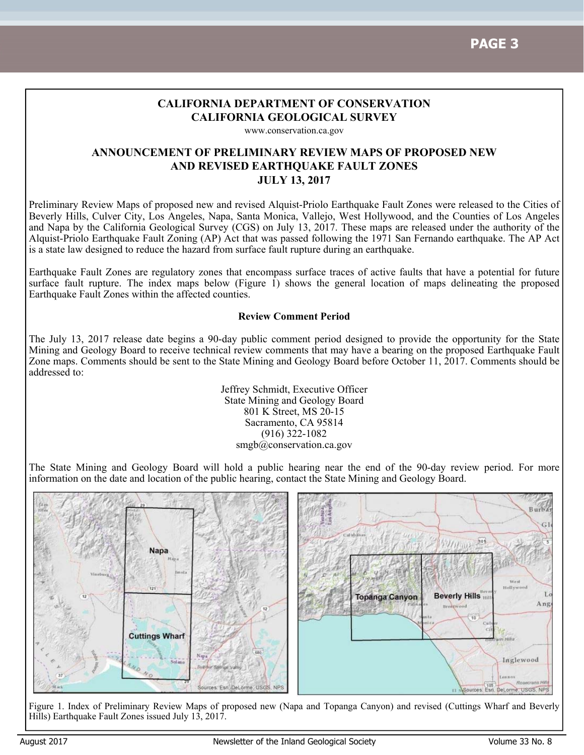### **CALIFORNIA DEPARTMENT OF CONSERVATION CALIFORNIA GEOLOGICAL SURVEY**

www.conservation.ca.gov

#### **ANNOUNCEMENT OF PRELIMINARY REVIEW MAPS OF PROPOSED NEW AND REVISED EARTHQUAKE FAULT ZONES JULY 13, 2017**

Preliminary Review Maps of proposed new and revised Alquist-Priolo Earthquake Fault Zones were released to the Cities of Beverly Hills, Culver City, Los Angeles, Napa, Santa Monica, Vallejo, West Hollywood, and the Counties of Los Angeles and Napa by the California Geological Survey (CGS) on July 13, 2017. These maps are released under the authority of the Alquist-Priolo Earthquake Fault Zoning (AP) Act that was passed following the 1971 San Fernando earthquake. The AP Act is a state law designed to reduce the hazard from surface fault rupture during an earthquake.

Earthquake Fault Zones are regulatory zones that encompass surface traces of active faults that have a potential for future surface fault rupture. The index maps below (Figure 1) shows the general location of maps delineating the proposed Earthquake Fault Zones within the affected counties.

#### **Review Comment Period**

The July 13, 2017 release date begins a 90-day public comment period designed to provide the opportunity for the State Mining and Geology Board to receive technical review comments that may have a bearing on the proposed Earthquake Fault Zone maps. Comments should be sent to the State Mining and Geology Board before October 11, 2017. Comments should be addressed to:

> Jeffrey Schmidt, Executive Officer State Mining and Geology Board 801 K Street, MS 20-15 Sacramento, CA 95814 (916) 322-1082 smgb@conservation.ca.gov

The State Mining and Geology Board will hold a public hearing near the end of the 90-day review period. For more information on the date and location of the public hearing, contact the State Mining and Geology Board.



Figure 1. Index of Preliminary Review Maps of proposed new (Napa and Topanga Canyon) and revised (Cuttings Wharf and Beverly Hills) Earthquake Fault Zones issued July 13, 2017.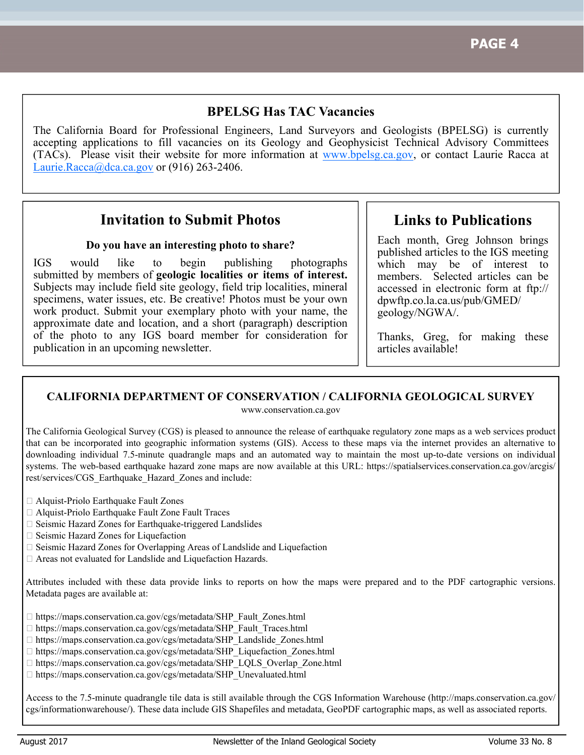### **BPELSG Has TAC Vacancies**

The California Board for Professional Engineers, Land Surveyors and Geologists (BPELSG) is currently accepting applications to fill vacancies on its Geology and Geophysicist Technical Advisory Committees (TACs). Please visit their website for more information at www.bpelsg.ca.gov, or contact Laurie Racca at Laurie.Racca@dca.ca.gov or  $(916)$  263-2406.

## **Invitation to Submit Photos**

#### **Do you have an interesting photo to share?**

IGS would like to begin publishing photographs submitted by members of **geologic localities or items of interest.**  Subjects may include field site geology, field trip localities, mineral specimens, water issues, etc. Be creative! Photos must be your own work product. Submit your exemplary photo with your name, the approximate date and location, and a short (paragraph) description of the photo to any IGS board member for consideration for publication in an upcoming newsletter.

**Links to Publications** 

Each month, Greg Johnson brings published articles to the IGS meeting which may be of interest to members. Selected articles can be accessed in electronic form at ftp:// dpwftp.co.la.ca.us/pub/GMED/ geology/NGWA/.

Thanks, Greg, for making these articles available!

#### **CALIFORNIA DEPARTMENT OF CONSERVATION / CALIFORNIA GEOLOGICAL SURVEY**

www.conservation.ca.gov

The California Geological Survey (CGS) is pleased to announce the release of earthquake regulatory zone maps as a web services product that can be incorporated into geographic information systems (GIS). Access to these maps via the internet provides an alternative to downloading individual 7.5-minute quadrangle maps and an automated way to maintain the most up-to-date versions on individual systems. The web-based earthquake hazard zone maps are now available at this URL: https://spatialservices.conservation.ca.gov/arcgis/ rest/services/CGS\_Earthquake\_Hazard\_Zones and include:

- Alquist-Priolo Earthquake Fault Zones
- Alquist-Priolo Earthquake Fault Zone Fault Traces
- □ Seismic Hazard Zones for Earthquake-triggered Landslides
- □ Seismic Hazard Zones for Liquefaction
- □ Seismic Hazard Zones for Overlapping Areas of Landslide and Liquefaction
- Areas not evaluated for Landslide and Liquefaction Hazards.

Attributes included with these data provide links to reports on how the maps were prepared and to the PDF cartographic versions. Metadata pages are available at:

- □ https://maps.conservation.ca.gov/cgs/metadata/SHP\_Fault\_Zones.html
- □ https://maps.conservation.ca.gov/cgs/metadata/SHP\_Fault\_Traces.html
- □ https://maps.conservation.ca.gov/cgs/metadata/SHP\_Landslide\_Zones.html
- □ https://maps.conservation.ca.gov/cgs/metadata/SHP\_Liquefaction\_Zones.html
- □ https://maps.conservation.ca.gov/cgs/metadata/SHP\_LQLS\_Overlap\_Zone.html
- □ https://maps.conservation.ca.gov/cgs/metadata/SHP\_Unevaluated.html

Access to the 7.5-minute quadrangle tile data is still available through the CGS Information Warehouse (http://maps.conservation.ca.gov/ cgs/informationwarehouse/). These data include GIS Shapefiles and metadata, GeoPDF cartographic maps, as well as associated reports.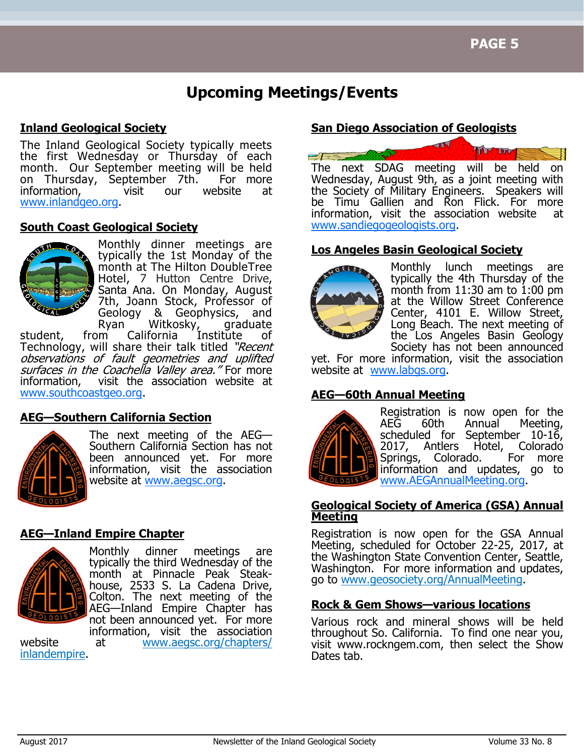# **Upcoming Meetings/Events**

#### **Inland Geological Society**

The Inland Geological Society typically meets the first Wednesday or Thursday of each month. Our September meeting will be held on Thursday, September 7th. For more<br>information, visit our website at information, visit our website at www.inlandgeo.org.

#### **South Coast Geological Society**



Monthly dinner meetings are typically the 1st Monday of the month at The Hilton DoubleTree Hotel, 7 Hutton Centre Drive, Santa Ana. On Monday, August 7th, Joann Stock, Professor of Geology & Geophysics, and

Ryan Witkosky, graduate<br>from California Institute of student, from California Institute of Technology, will share their talk titled "Recent observations of fault geometries and uplifted surfaces in the Coachella Valley area." For more information, visit the association website at visit the association website at www.southcoastgeo.org.

### **AEG—Southern California Section**



The next meeting of the AEG— Southern California Section has not been announced yet. For more information, visit the association website at www.aegsc.org.

#### **AEG—Inland Empire Chapter**



Monthly dinner meetings are typically the third Wednesday of the month at Pinnacle Peak Steakhouse, 2533 S. La Cadena Drive, Colton. The next meeting of the AEG—Inland Empire Chapter has not been announced yet. For more information, visit the association

website at www.aegsc.org/chapters/ inlandempire.

#### **San Diego Association of Geologists**



Wednesday, August 9th, as a joint meeting with the Society of Military Engineers. Speakers will be Timu Gallien and Ron Flick. For more information, visit the association website at www.sandiegogeologists.org.

#### **Los Angeles Basin Geological Society**



Monthly lunch meetings are typically the 4th Thursday of the month from 11:30 am to 1:00 pm at the Willow Street Conference Center, 4101 E. Willow Street, Long Beach. The next meeting of the Los Angeles Basin Geology Society has not been announced

yet. For more information, visit the association website at www.labgs.org.

### **AEG—60th Annual Meeting**



Registration is now open for the AEG 60th Annual Meeting, scheduled for September 10-16,<br>2017, Antlers Hotel, Colorado 2017, Antlers Hotel, Colorado<br>Springs, Colorado, For more Springs, Colorado. information and updates, go to www.AEGAnnualMeeting.org.

#### **Geological Society of America (GSA) Annual Meeting**

Registration is now open for the GSA Annual Meeting, scheduled for October 22-25, 2017, at the Washington State Convention Center, Seattle, Washington. For more information and updates, go to www.geosociety.org/AnnualMeeting.

#### **Rock & Gem Shows—various locations**

Various rock and mineral shows will be held throughout So. California. To find one near you, visit www.rockngem.com, then select the Show Dates tab.